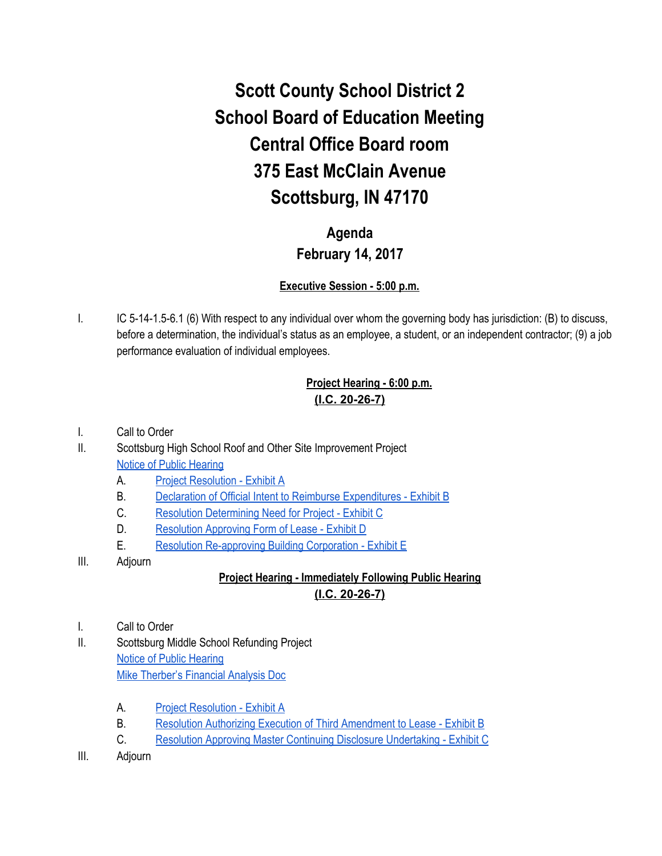# **Scott County School District 2 School Board of Education Meeting Central Office Board room 375 East McClain Avenue Scottsburg, IN 47170**

## **Agenda February 14, 2017**

#### **Executive Session - 5:00 p.m.**

I. IC 5-14-1.5-6.1 (6) With respect to any individual over whom the governing body has jurisdiction: (B) to discuss, before a determination, the individual's status as an employee, a student, or an independent contractor; (9) a job performance evaluation of individual employees.

#### **Project Hearing - 6:00 p.m. (I.C. 20-26-7)**

- I. Call to Order
- II. Scottsburg High School Roof and Other Site Improvement Project [Notice of Public Hearing](https://drive.google.com/file/d/0BxXvxnGh3EX1aUIxTE9hXzNNcFQ5ZFVfYzM4czMwb2syX1FZ/view)
	- A. [Project Resolution Exhibit A](https://drive.google.com/file/d/0BxXvxnGh3EX1d004elFZdDM3TXBHZG8zdTV1bkJSVVlYd3RN/view)
	- B. [Declaration of Official Intent to Reimburse Expenditures Exhibit B](https://drive.google.com/file/d/0BxXvxnGh3EX1REtoZ29ZaHZWb09kNm5XTzdBNTFIQnJFekNv/view)
	- C. [Resolution Determining Need for Project Exhibit C](https://drive.google.com/file/d/0BxXvxnGh3EX1SGVJbXd4ZjBObS1FUFMxNzRmVmhpZkJBamc4/view)
	- D. [Resolution Approving Form of Lease Exhibit D](https://drive.google.com/file/d/0BxXvxnGh3EX1N1lGRk1RdGdOSXRWb2FXNzY0ZllrdkJHdnRj/view)
	- E. [Resolution Re-approving Building Corporation Exhibit E](https://drive.google.com/file/d/0BxXvxnGh3EX1eHFvT2Q5LUZCWjV1MThDUGwtOWdSS1RaRFpV/view)
- III. Adjourn

### **Project Hearing - Immediately Following Public Hearing (I.C. 20-26-7)**

- I. Call to Order
- II. Scottsburg Middle School Refunding Project [Notice of Public Hearing](https://drive.google.com/file/d/0BxXvxnGh3EX1VVlqOWZnTnZ5ajd2bWxmbkhER2hzamhPekN3/view) [Mike Therber's Financial Analysis Doc](https://docs.google.com/a/scsd2.k12.in.us/spreadsheets/d/1BxonpClDG_xDStXRXoxpUap1wCNKV7xFgJ9o4jJuupU/edit?usp=sharing)
	- A. [Project Resolution Exhibit A](https://drive.google.com/file/d/0BxXvxnGh3EX1ZjhnTzlXYU45b3hRSFlXejRNcExxQk84dVNJ/view)
	- B. [Resolution Authorizing Execution of Third Amendment to Lease Exhibit B](https://drive.google.com/file/d/0BxXvxnGh3EX1TmlONmZPTmZVc1hmY1NjQVBRUTlkUl96TFg4/view)
	- C. [Resolution Approving Master Continuing Disclosure Undertaking Exhibit C](https://drive.google.com/file/d/0BxXvxnGh3EX1cnp2aG5Wd0RzTDRZZDQ5N0JTcFpIczQ0dHY0/view)
- III. Adjourn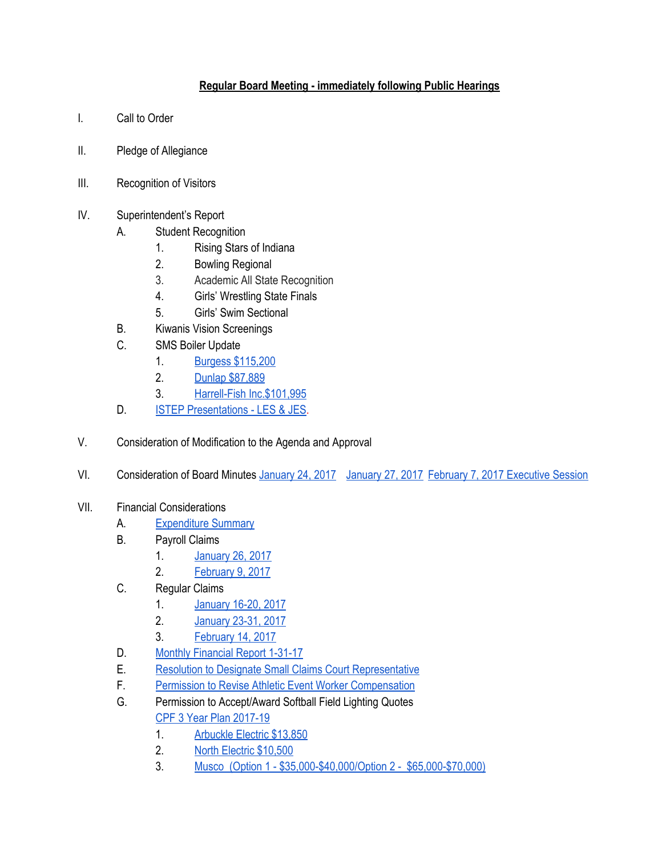#### **Regular Board Meeting - immediately following Public Hearings**

- I. Call to Order
- II. Pledge of Allegiance
- III. Recognition of Visitors
- IV. Superintendent's Report
	- A. Student Recognition
		- 1. Rising Stars of Indiana
		- 2. Bowling Regional
		- 3. Academic All State Recognition
		- 4. Girls' Wrestling State Finals
		- 5. Girls' Swim Sectional
	- B. Kiwanis Vision Screenings
	- C. SMS Boiler Update
		- 1. [Burgess \\$115,200](https://drive.google.com/file/d/0BxXvxnGh3EX1NldQT1loWWlTdFI3b19TOTdRQnlvYzhOMDI0/view)
		- 2. [Dunlap \\$87,889](https://drive.google.com/file/d/0BxXvxnGh3EX1dWtCYURPSW1wd01jVzVGSkRrV3ZoSlRRZ1d3/view)
		- 3. [Harrell-Fish Inc.\\$101,995](https://drive.google.com/file/d/0BxXvxnGh3EX1ZXVuUkE1T3d4RDdUVU5jcmluXzdHZzA4V3NR/view)
	- D. **[ISTEP Presentations LES & JES.](https://docs.google.com/presentation/d/1MQr2YigBtZVkuzSbIo9MhzlEsvS_mPJj_ev2YHI-aHg/edit#slide=id.g1c5ac21479_1_0)**
- V. Consideration of Modification to the Agenda and Approval
- VI. Consideration of Board Minutes [January 24, 2017](https://docs.google.com/document/d/18b7AQbsQSbFgnPFLhfeXQivtK4fEFa8mLJSOAN8061w/edit) [January 27, 2017](https://docs.google.com/document/d/19NjfyWY2fB4mQFiXXSIz-a4wz2mcBSHZ6aeXRhWyAAc/edit) [February 7, 2017 Executive Session](https://docs.google.com/document/d/1hxOxDeyhCNShWmFB34Dg5BpkBUCQ0qeH-KVBhR8OnbE/edit)
- VII. Financial Considerations
	- A. [Expenditure Summary](https://drive.google.com/file/d/0BxXvxnGh3EX1U1ZtTjUxNmlXZHZMdXJYVURqN2FEbi1DMXI0/view)
	- B. Payroll Claims
		- 1. [January 26, 2017](https://drive.google.com/file/d/0BxXvxnGh3EX1MVhManhKRFN4SUVQNVdJbWYxUW9UYkJmMmRj/view)
		- 2. [February 9, 2017](https://drive.google.com/file/d/0BxXvxnGh3EX1cVpqTUNiWjRBN1o3MXdxVklscUZNUEYzbUNF/view)
	- C. Regular Claims
		- 1. [January 16-20, 2017](https://drive.google.com/file/d/0BxXvxnGh3EX1UmRzYjhoRDFhOFFreko4VWNGbWRJZlRSNElr/view)
		- 2. [January 23-31, 2017](https://drive.google.com/file/d/0BxXvxnGh3EX1YmRjWEtNNEszZ2JjbGFFU0w3d3pya1FjUlkw/view)
		- 3. [February 14, 2017](https://drive.google.com/file/d/0BxXvxnGh3EX1ek1MMDVoMm8wZWdKSG9VRG52dzREYllHNlkw/view)
	- D. [Monthly Financial Report 1-31-17](https://drive.google.com/file/d/0BxXvxnGh3EX1SlhLTzkwVHAySmVkTFN0RUp4dDluNTE0THR3/view)
	- E. [Resolution to Designate Small Claims Court Representative](https://drive.google.com/file/d/0BxXvxnGh3EX1ZjZVZlI5ZHMxY0VlNEF4blRtV2IxR3JFUzFv/view)
	- F. [Permission to Revise Athletic Event Worker Compensation](https://docs.google.com/document/d/1jEHP9UuI6Jqc4lzLB00GcLOYmaUaRQAiN-MTgoBbtsM/edit)
	- G. Permission to Accept/Award Softball Field Lighting Quotes [CPF 3 Year Plan 2017-19](https://docs.google.com/spreadsheets/d/1VTPUDEhka9UpG3wr2g9G0HQim5ATfOKJxJFHgbtpdco/edit?ts=589a180c#gid=2050550719)
		- 1. [Arbuckle Electric \\$13,850](https://drive.google.com/file/d/0BxXvxnGh3EX1SUpQTHZORllxSXZuaEpCNXBEb3pYQ3docXlr/view)
		- 2. [North Electric \\$10,500](https://drive.google.com/file/d/0BxXvxnGh3EX1bUVqUW1SSkFxNjJmRmtnZUtoQURkOUNtQ0M4/view)
		- 3. [Musco \(Option 1 \\$35,000-\\$40,000/Option 2 \\$65,000-\\$70,000\)](https://drive.google.com/file/d/0BxXvxnGh3EX1SXlEMGw4al90SDUwaVRUVU1USnRvUXdXSHJ3/view)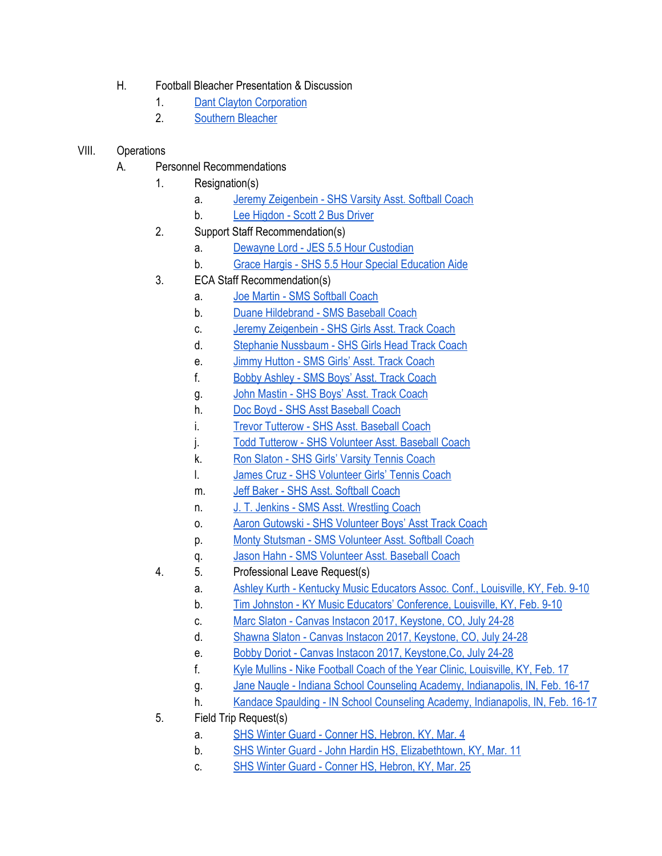- H. Football Bleacher Presentation & Discussion
	- 1. [Dant Clayton Corporation](https://drive.google.com/file/d/0BxXvxnGh3EX1cDdESkZpUDJ2alJFXzBWUW4zYXF3TlpmUmpN/view)
	- 2. [Southern Bleacher](https://drive.google.com/file/d/0BxXvxnGh3EX1ZFFoMGtTenYwRm1wNHNlbjNuVjVxQmRTYjhr/view)
- VIII. Operations
	- A. Personnel Recommendations
		- 1. Resignation(s)
			- a. [Jeremy Zeigenbein SHS Varsity Asst. Softball Coach](https://drive.google.com/file/d/0BxXvxnGh3EX1V3N4VXVDOGp0VG1BcjZXVDdKWEJpQnVUUDI0/view)
			- b. [Lee Higdon Scott 2 Bus Driver](https://drive.google.com/file/d/0BxXvxnGh3EX1YWZOeVN5VS1lS0lKV0J4UDdLQ3BHRnNpZlJV/view)
		- 2. Support Staff Recommendation(s)
			- a. [Dewayne Lord JES 5.5 Hour Custodian](https://drive.google.com/file/d/0BxXvxnGh3EX1cU5HWWlqVk1UMW5FZ042dEFxTWRTdU0tVHNz/view)
			- b. [Grace Hargis SHS 5.5 Hour Special Education Aide](https://drive.google.com/file/d/0BxXvxnGh3EX1ZUZsVTRnckgxTTBqeWV6aWp2WkN2NWFyVXQ0/view)
		- 3. ECA Staff Recommendation(s)
			- a. [Joe Martin SMS Softball Coach](https://drive.google.com/file/d/0BxXvxnGh3EX1ZlppZVp4bENyRTQ1dVJvVmFsOHo5aVBxZTg0/view)
			- b. [Duane Hildebrand SMS Baseball Coach](https://drive.google.com/file/d/0BxXvxnGh3EX1N0E5bm5KbURlTF9tdHZiUVVRX1J0d29la1Mw/view)
			- c. [Jeremy Zeigenbein SHS Girls Asst. Track Coach](https://drive.google.com/file/d/0BxXvxnGh3EX1VzhoRkJaOVFZQlpEc1Raa1JWblVtV1JZTEUw/view)
			- d. [Stephanie Nussbaum SHS Girls Head Track Coach](https://drive.google.com/file/d/0BxXvxnGh3EX1c0RWY3FaSTV0QU5FWUZtR29jSTRlTTBnVmg4/view)
			- e. [Jimmy Hutton SMS Girls' Asst. Track Coach](https://drive.google.com/file/d/0BxXvxnGh3EX1alFlNjg2Ym5YMnZsM3JDZzY5NHlLU0IxcDZV/view)
			- f. [Bobby Ashley SMS Boys' Asst. Track Coach](https://drive.google.com/file/d/0BxXvxnGh3EX1WXA0SXBBMmxaenhKYXNIdi1CQTNtTF83blZB/view)
			- g. [John Mastin SHS Boys' Asst. Track Coach](https://drive.google.com/file/d/0BxXvxnGh3EX1YUo0emFXVVA0Q2hQMUFvUTA5d2M1NW9HMnJv/view)
			- h. [Doc Boyd SHS Asst Baseball Coach](https://drive.google.com/file/d/0BxXvxnGh3EX1ZTc5cE43MFVVZWJOQUhyZnJYR3A5YmVpMXZZ/view)
			- i. [Trevor Tutterow SHS Asst. Baseball Coach](https://drive.google.com/file/d/0BxXvxnGh3EX1dldiMHh5RUNiNm9SbnltaHZaaWdPRjFQcHZj/view)
			- j. [Todd Tutterow SHS Volunteer Asst. Baseball Coach](https://drive.google.com/file/d/0BxXvxnGh3EX1cnlPcFNWQmNXVC12d3loVGVlQ0FRX1N0a21V/view)
			- k. [Ron Slaton SHS Girls' Varsity Tennis Coach](https://drive.google.com/file/d/0BxXvxnGh3EX1UFVxNkY4RTBtX0x5LW9KNHBvZzV4aE9oNzFR/view)
			- l. [James Cruz SHS Volunteer Girls' Tennis Coach](https://drive.google.com/file/d/0BxXvxnGh3EX1bkJmQmIwMHBtWjRGbjMxNkk0ME9OcXNnVVZr/view)
			- m. [Jeff Baker SHS Asst. Softball Coach](https://drive.google.com/file/d/0BxXvxnGh3EX1OF93S19VZng0S1l3bTN3YVFTQWxoZjdnMzNj/view)
			- n. [J. T. Jenkins SMS Asst. Wrestling Coach](https://drive.google.com/file/d/0BxXvxnGh3EX1VFpFQU45SjV5eWxGMi1HaTZFQVFhd2loZGsw/view)
			- o. [Aaron Gutowski SHS Volunteer Boys' Asst Track Coach](https://drive.google.com/file/d/0BxXvxnGh3EX1dTVnOGNkMmJWdGJVT2hwaS1yanE2M0RyZ2xR/view)
			- p. [Monty Stutsman SMS Volunteer Asst. Softball Coach](https://drive.google.com/file/d/0BxXvxnGh3EX1NG5vQl9vSElmTVA3SW5Ka2hEZTFHT25SSmkw/view)
			- q. [Jason Hahn SMS Volunteer Asst. Baseball Coach](https://drive.google.com/file/d/0BxXvxnGh3EX1RlpTS1B6SEg1eVFtYkl3MEh6UUh6Vlh3WURZ/view)
		- 4. 5. Professional Leave Request(s)
			- a. [Ashley Kurth Kentucky Music Educators Assoc. Conf., Louisville, KY, Feb. 9-10](https://drive.google.com/file/d/0BxXvxnGh3EX1V1hTSHhOVFk1YTdiNkI4d2VHbk5lc1JveHhz/view)
			- b. [Tim Johnston KY Music Educators' Conference, Louisville, KY, Feb. 9-10](https://drive.google.com/file/d/0BxXvxnGh3EX1VmtiMEhtNWxBdFdQY0hoVXN0TlRlUTVET2pN/view)
			- c. [Marc Slaton Canvas Instacon 2017, Keystone, CO, July 24-28](https://drive.google.com/file/d/0BxXvxnGh3EX1US1hRlJpYXljUFRkQTZwSUZRWVdhRDVEVlVj/view)
			- d. [Shawna Slaton Canvas Instacon 2017, Keystone, CO, July 24-28](https://drive.google.com/file/d/0BxXvxnGh3EX1WE5qVzJxX0ZUOVhnNWk1NUNkbUhDOUFSeU04/view)
			- e. [Bobby Doriot Canvas Instacon 2017, Keystone,Co, July 24-28](https://drive.google.com/file/d/0BxXvxnGh3EX1Z01fNkx4NERsVW5XLWFsQkNpSVc4RmNabXBZ/view)
			- f. [Kyle Mullins Nike Football Coach of the Year Clinic, Louisville, KY, Feb. 17](https://drive.google.com/file/d/0BxXvxnGh3EX1SzV6S0wycVhXUzZlNUo3amhJdVEzejVEUlIw/view)
			- g. [Jane Naugle Indiana School Counseling Academy, Indianapolis, IN, Feb. 16-17](https://drive.google.com/file/d/0BxXvxnGh3EX1ODVUMWg1UXloTEpFamJYMjhuWXh2Q1piSXg4/view)
			- h. [Kandace Spaulding IN School Counseling Academy, Indianapolis, IN, Feb. 16-17](https://drive.google.com/file/d/0BxXvxnGh3EX1Q21EMDh6dFVueTNtXzcyVUR0RXhPY0t3S2c4/view)
		- 5. Field Trip Request(s)
			- a. [SHS Winter Guard Conner HS, Hebron, KY, Mar. 4](https://drive.google.com/file/d/0BxXvxnGh3EX1dzRacVhjQ0ZFYS1GWDBlQnRkTVc1X3V3Z2FN/view)
			- b. [SHS Winter Guard John Hardin HS, Elizabethtown, KY, Mar. 11](https://drive.google.com/file/d/0BxXvxnGh3EX1LUhNTTlLczE4NlN1UFAzV1owRnF3NUp0RVVN/view)
			- c. [SHS Winter Guard Conner HS, Hebron, KY, Mar. 25](https://drive.google.com/file/d/0BxXvxnGh3EX1dlZmbmhXamRsdUh4NFZ1elNuR0pCbzJSaGtz/view)